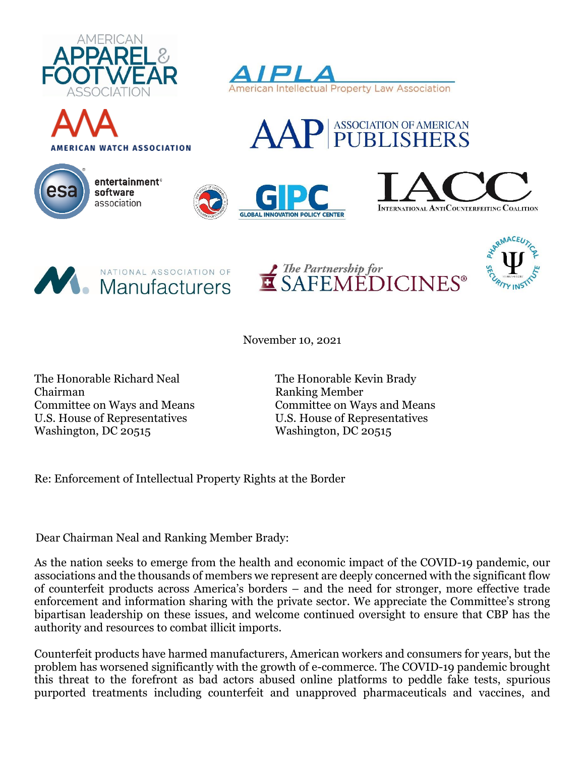





entertainment<sup>®</sup> software association















November 10, 2021

The Honorable Richard Neal The Honorable Kevin Brady Chairman Ranking Member U.S. House of Representatives U.S. House of Representatives Washington, DC 20515

Committee on Ways and Means Committee on Ways and Means

Re: Enforcement of Intellectual Property Rights at the Border

Dear Chairman Neal and Ranking Member Brady:

As the nation seeks to emerge from the health and economic impact of the COVID-19 pandemic, our associations and the thousands of members we represent are deeply concerned with the significant flow of counterfeit products across America's borders – and the need for stronger, more effective trade enforcement and information sharing with the private sector. We appreciate the Committee's strong bipartisan leadership on these issues, and welcome continued oversight to ensure that CBP has the authority and resources to combat illicit imports.

Counterfeit products have harmed manufacturers, American workers and consumers for years, but the problem has worsened significantly with the growth of e-commerce. The COVID-19 pandemic brought this threat to the forefront as bad actors abused online platforms to peddle fake tests, spurious purported treatments including counterfeit and unapproved pharmaceuticals and vaccines, and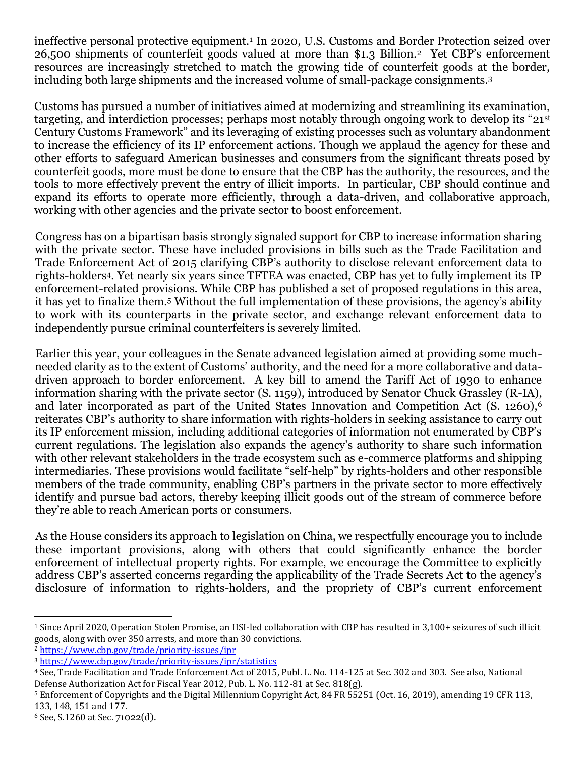ineffective personal protective equipment.<sup>1</sup> In 2020, U.S. Customs and Border Protection seized over 26,500 shipments of counterfeit goods valued at more than \$1.3 Billion.<sup>2</sup> Yet CBP's enforcement resources are increasingly stretched to match the growing tide of counterfeit goods at the border, including both large shipments and the increased volume of small-package consignments. 3

Customs has pursued a number of initiatives aimed at modernizing and streamlining its examination, targeting, and interdiction processes; perhaps most notably through ongoing work to develop its "21st Century Customs Framework" and its leveraging of existing processes such as voluntary abandonment to increase the efficiency of its IP enforcement actions. Though we applaud the agency for these and other efforts to safeguard American businesses and consumers from the significant threats posed by counterfeit goods, more must be done to ensure that the CBP has the authority, the resources, and the tools to more effectively prevent the entry of illicit imports. In particular, CBP should continue and expand its efforts to operate more efficiently, through a data-driven, and collaborative approach, working with other agencies and the private sector to boost enforcement.

Congress has on a bipartisan basis strongly signaled support for CBP to increase information sharing with the private sector. These have included provisions in bills such as the Trade Facilitation and Trade Enforcement Act of 2015 clarifying CBP's authority to disclose relevant enforcement data to rights-holders4. Yet nearly six years since TFTEA was enacted, CBP has yet to fully implement its IP enforcement-related provisions. While CBP has published a set of proposed regulations in this area, it has yet to finalize them.<sup>5</sup> Without the full implementation of these provisions, the agency's ability to work with its counterparts in the private sector, and exchange relevant enforcement data to independently pursue criminal counterfeiters is severely limited.

Earlier this year, your colleagues in the Senate advanced legislation aimed at providing some muchneeded clarity as to the extent of Customs' authority, and the need for a more collaborative and datadriven approach to border enforcement. A key bill to amend the Tariff Act of 1930 to enhance information sharing with the private sector (S. 1159), introduced by Senator Chuck Grassley (R-IA), and later incorporated as part of the United States Innovation and Competition Act (S. 1260),<sup>6</sup> reiterates CBP's authority to share information with rights-holders in seeking assistance to carry out its IP enforcement mission, including additional categories of information not enumerated by CBP's current regulations. The legislation also expands the agency's authority to share such information with other relevant stakeholders in the trade ecosystem such as e-commerce platforms and shipping intermediaries. These provisions would facilitate "self-help" by rights-holders and other responsible members of the trade community, enabling CBP's partners in the private sector to more effectively identify and pursue bad actors, thereby keeping illicit goods out of the stream of commerce before they're able to reach American ports or consumers.

As the House considers its approach to legislation on China, we respectfully encourage you to include these important provisions, along with others that could significantly enhance the border enforcement of intellectual property rights. For example, we encourage the Committee to explicitly address CBP's asserted concerns regarding the applicability of the Trade Secrets Act to the agency's disclosure of information to rights-holders, and the propriety of CBP's current enforcement

<sup>1</sup> Since April 2020, Operation Stolen Promise, an HSI-led collaboration with CBP has resulted in 3,100+ seizures of such illicit goods, along with over 350 arrests, and more than 30 convictions.

<sup>2</sup> <https://www.cbp.gov/trade/priority-issues/ipr>

<sup>3</sup> <https://www.cbp.gov/trade/priority-issues/ipr/statistics>

<sup>4</sup> See, Trade Facilitation and Trade Enforcement Act of 2015, Publ. L. No. 114-125 at Sec. 302 and 303. See also, National Defense Authorization Act for Fiscal Year 2012, Pub. L. No. 112-81 at Sec. 818(g).

<sup>5</sup> Enforcement of Copyrights and the Digital Millennium Copyright Act, 84 FR 55251 (Oct. 16, 2019), amending 19 CFR 113, 133, 148, 151 and 177.

 $6$  See, S.1260 at Sec. 71022(d).